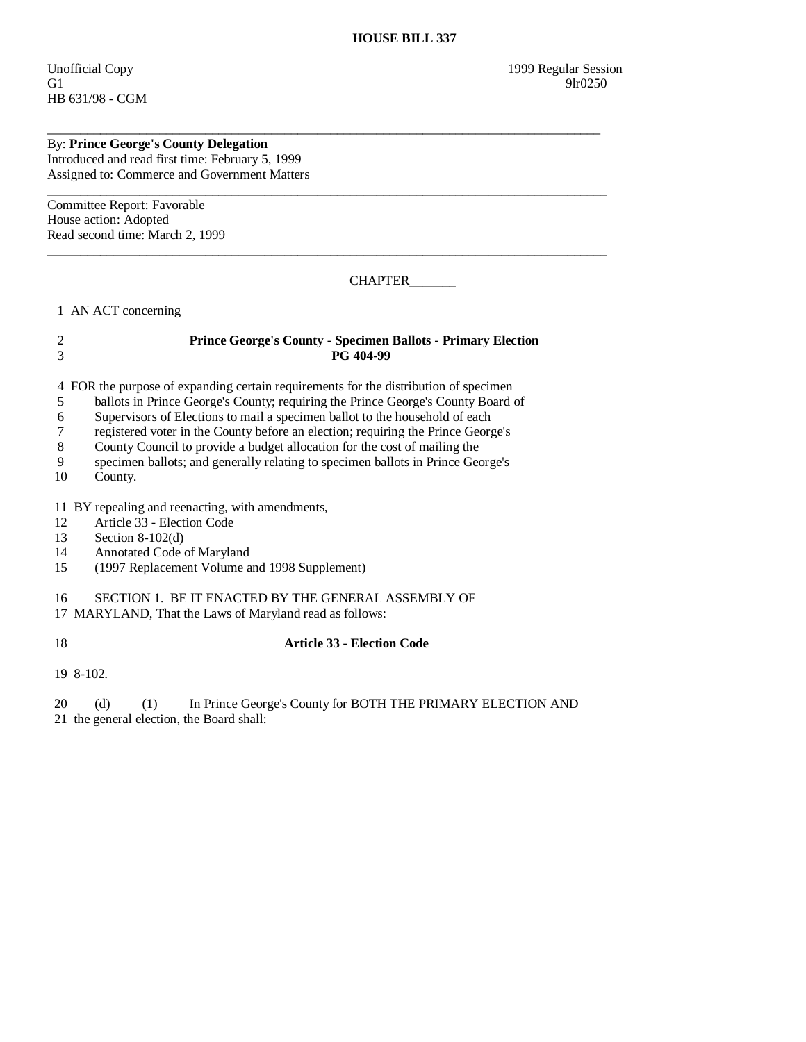HB 631/98 - CGM

# By: **Prince George's County Delegation**

Introduced and read first time: February 5, 1999 Assigned to: Commerce and Government Matters

Committee Report: Favorable House action: Adopted Read second time: March 2, 1999

## CHAPTER\_\_\_\_\_\_\_

1 AN ACT concerning

### 2 **Prince George's County - Specimen Ballots - Primary Election**  3 **PG 404-99**

\_\_\_\_\_\_\_\_\_\_\_\_\_\_\_\_\_\_\_\_\_\_\_\_\_\_\_\_\_\_\_\_\_\_\_\_\_\_\_\_\_\_\_\_\_\_\_\_\_\_\_\_\_\_\_\_\_\_\_\_\_\_\_\_\_\_\_\_\_\_\_\_\_\_\_\_\_\_\_\_\_\_\_\_

\_\_\_\_\_\_\_\_\_\_\_\_\_\_\_\_\_\_\_\_\_\_\_\_\_\_\_\_\_\_\_\_\_\_\_\_\_\_\_\_\_\_\_\_\_\_\_\_\_\_\_\_\_\_\_\_\_\_\_\_\_\_\_\_\_\_\_\_\_\_\_\_\_\_\_\_\_\_\_\_\_\_\_\_\_

\_\_\_\_\_\_\_\_\_\_\_\_\_\_\_\_\_\_\_\_\_\_\_\_\_\_\_\_\_\_\_\_\_\_\_\_\_\_\_\_\_\_\_\_\_\_\_\_\_\_\_\_\_\_\_\_\_\_\_\_\_\_\_\_\_\_\_\_\_\_\_\_\_\_\_\_\_\_\_\_\_\_\_\_\_

4 FOR the purpose of expanding certain requirements for the distribution of specimen

5 ballots in Prince George's County; requiring the Prince George's County Board of

6 Supervisors of Elections to mail a specimen ballot to the household of each

7 registered voter in the County before an election; requiring the Prince George's County Council to provide a budget allocation for the cost of mailing the

8 County Council to provide a budget allocation for the cost of mailing the

9 specimen ballots; and generally relating to specimen ballots in Prince George's

10 County.

11 BY repealing and reenacting, with amendments,

12 Article 33 - Election Code<br>13 Section 8-102(d)

Section  $8-102(d)$ 

14 Annotated Code of Maryland

15 (1997 Replacement Volume and 1998 Supplement)

16 SECTION 1. BE IT ENACTED BY THE GENERAL ASSEMBLY OF

17 MARYLAND, That the Laws of Maryland read as follows:

### 18 **Article 33 - Election Code**

19 8-102.

20 (d) (1) In Prince George's County for BOTH THE PRIMARY ELECTION AND 21 the general election, the Board shall: